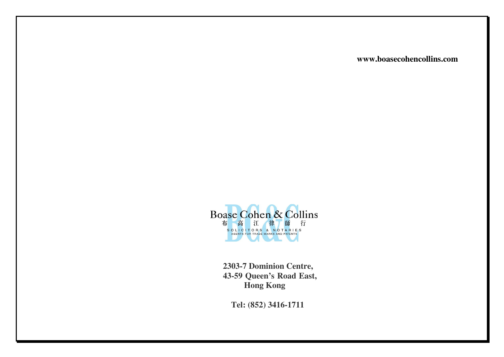**www.boasecohencollins.com**



**2303-7 Dominion Centre, 43-59 Queen's Road East, Hong Kong** 

**Tel: (852) 3416-1711**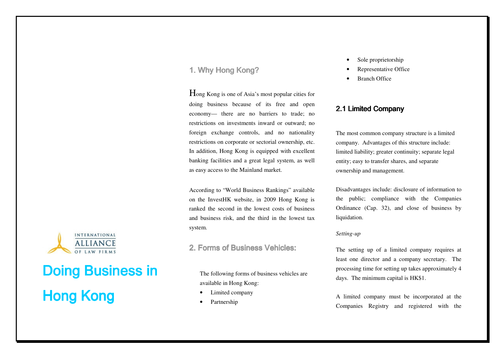# 1. Why Hong Kong?

Hong Kong is one of Asia's most popular cities for doing business because of its free and open economy— there are no barriers to trade; no restrictions on investments inward or outward; no foreign exchange controls, and no nationality restrictions on corporate or sectorial ownership, etc. In addition, Hong Kong is equipped with excellent banking facilities and a great legal system, as well as easy access to the Mainland market.

According to "World Business Rankings" available on the InvestHK website, in 2009 Hong Kong is ranked the second in the lowest costs of business and business risk, and the third in the lowest tax system.

## 2. Forms of Business Vehicles:

The following forms of business vehicles are available in Hong Kong:

- •Limited company
- •Partnership
- •Sole proprietorship
- •Representative Office
- •Branch Office

# 2.1 Limited Company

The most common company structure is a limited company. Advantages of this structure include: limited liability; greater continuity; separate legal entity; easy to transfer shares, and separate ownership and management.

Disadvantages include: disclosure of information tothe public; compliance with the Companies Ordinance (Cap. 32), and close of business by liquidation.

#### *Setting-up*

The setting up of a limited company requires at least one director and a company secretary. The processing time for setting up takes approximately 4 days. The minimum capital is HK\$1.

A limited company must be incorporated at the Companies Registry and registered with the



# Doing Business in Hong Kong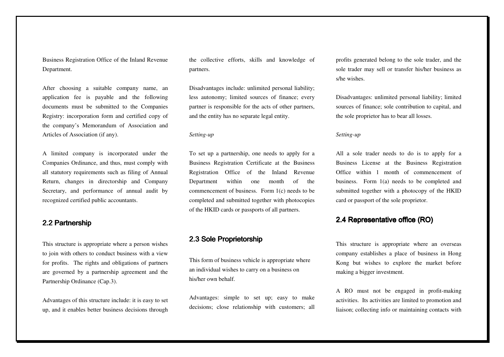Business Registration Office of the Inland Revenue Department.

After choosing a suitable company name, an application fee is payable and the following documents must be submitted to the Companies Registry: incorporation form and certified copy of the company's Memorandum of Association and Articles of Association (if any).

A limited company is incorporated under the Companies Ordinance, and thus, must comply with all statutory requirements such as filing of AnnualReturn, changes in directorship and Company Secretary, and performance of annual audit by recognized certified public accountants.

# 2.2 Partnership

This structure is appropriate where a person wishesto join with others to conduct business with a view for profits. The rights and obligations of partners are governed by a partnership agreement and the Partnership Ordinance (Cap.3).

Advantages of this structure include: it is easy to set up, and it enables better business decisions through the collective efforts, skills and knowledge of partners.

Disadvantages include: unlimited personal liability; less autonomy; limited sources of finance; every partner is responsible for the acts of other partners, and the entity has no separate legal entity.

#### *Setting-up*

To set up a partnership, one needs to apply for a Business Registration Certificate at the Business Registration Office of the Inland Revenue Department within one month of the commencement of business. Form 1(c) needs to be completed and submitted together with photocopies of the HKID cards or passports of all partners.

# 2.3 Sole Proprietorship 2.3

This form of business vehicle is appropriate where an individual wishes to carry on a business on his/her own behalf.

Advantages: simple to set up; easy to make decisions; close relationship with customers; all profits generated belong to the sole trader, and the sole trader may sell or transfer his/her business as s/he wishes.

Disadvantages: unlimited personal liability; limited sources of finance; sole contribution to capital, and the sole proprietor has to bear all losses.

#### *Setting-up*

All a sole trader needs to do is to apply for a Business License at the Business Registration Office within 1 month of commencement of business. Form 1(a) needs to be completed and submitted together with a photocopy of the HKID card or passport of the sole proprietor.

# 2.4 Representative office (RO)

This structure is appropriate where an overseas company establishes a place of business in Hong Kong but wishes to explore the market before making a bigger investment.

A RO must not be engaged in profit-making activities. Its activities are limited to promotion and liaison; collecting info or maintaining contacts with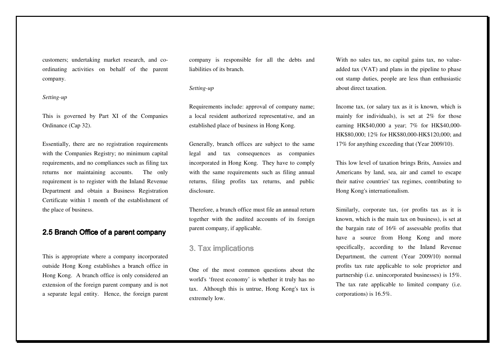customers; undertaking market research, and coordinating activities on behalf of the parent company.

#### *Setting-up*

This is governed by Part XI of the Companies Ordinance (Cap 32).

Essentially, there are no registration requirementswith the Companies Registry; no minimum capital requirements, and no compliances such as filing taxreturns nor maintaining accounts. The only requirement is to register with the Inland Revenue Department and obtain a Business Registration Certificate within 1 month of the establishment of the place of business.

## 2.5 Branch Office of a parent company

This is appropriate where a company incorporated outside Hong Kong establishes a branch office in Hong Kong. A branch office is only considered an extension of the foreign parent company and is not a separate legal entity. Hence, the foreign parent

company is responsible for all the debts and liabilities of its branch.

#### *Setting-up*

Requirements include: approval of company name; a local resident authorized representative, and an established place of business in Hong Kong.

Generally, branch offices are subject to the same legal and tax consequences as companies incorporated in Hong Kong. They have to comply with the same requirements such as filing annual returns, filing profits tax returns, and public disclosure.

Therefore, a branch office must file an annual return together with the audited accounts of its foreign parent company, if applicable.

## 3. Tax implications 3. Tax implications

One of the most common questions about the world's 'freest economy' is whether it truly has notax. Although this is untrue, Hong Kong's tax is extremely low.

With no sales tax, no capital gains tax, no valueadded tax (VAT) and plans in the pipeline to phase out stamp duties, people are less than enthusiasticabout direct taxation.

Income tax, (or salary tax as it is known, which ismainly for individuals), is set at 2% for those earning HK\$40,000 a year; 7% for HK\$40,000-HK\$80,000; 12% for HK\$80,000-HK\$120,000; and 17% for anything exceeding that (Year 2009/10).

This low level of taxation brings Brits, Aussies and Americans by land, sea, air and camel to escape their native countries' tax regimes, contributing to Hong Kong's internationalism.

Similarly, corporate tax, (or profits tax as it is known, which is the main tax on business), is set at the bargain rate of 16% of assessable profits that have a source from Hong Kong and more specifically, according to the Inland Revenue Department, the current (Year 2009/10) normal profits tax rate applicable to sole proprietor and partnership (i.e. unincorporated businesses) is 15%. The tax rate applicable to limited company (i.e. corporations) is 16.5%.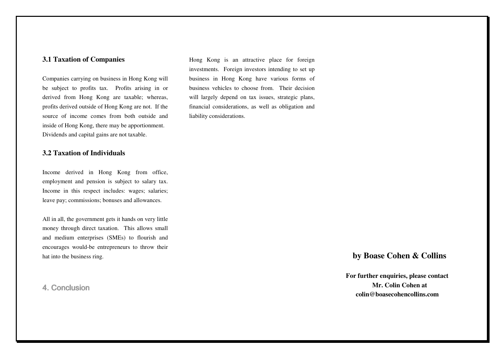#### **3.1 Taxation of Companies**

Companies carrying on business in Hong Kong will be subject to profits tax. Profits arising in or derived from Hong Kong are taxable; whereas, profits derived outside of Hong Kong are not. If the source of income comes from both outside and inside of Hong Kong, there may be apportionment. Dividends and capital gains are not taxable.

#### **3.2 Taxation of Individuals**

Income derived in Hong Kong from office, employment and pension is subject to salary tax. Income in this respect includes: wages; salaries; leave pay; commissions; bonuses and allowances.

All in all, the government gets it hands on very little money through direct taxation. This allows small and medium enterprises (SMEs) to flourish and encourages would-be entrepreneurs to throw their hat into the business ring.

### 4. Conclusion

Hong Kong is an attractive place for foreign investments. Foreign investors intending to set upbusiness in Hong Kong have various forms of business vehicles to choose from. Their decision will largely depend on tax issues, strategic plans,financial considerations, as well as obligation andliability considerations.

## **by Boase Cohen & Collins**

**For further enquiries, please contact Mr. Colin Cohen at colin@boasecohencollins.com**